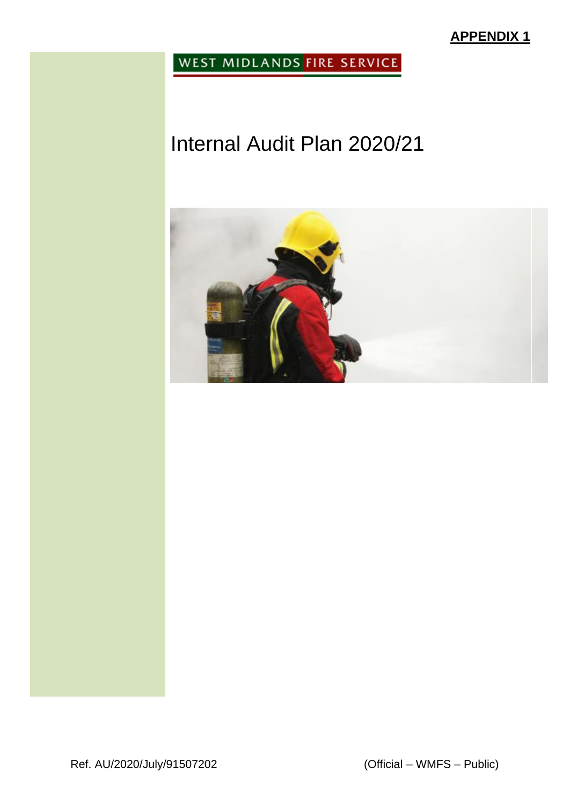### WEST MIDLANDS FIRE SERVICE

# Internal Audit Plan 2020/21

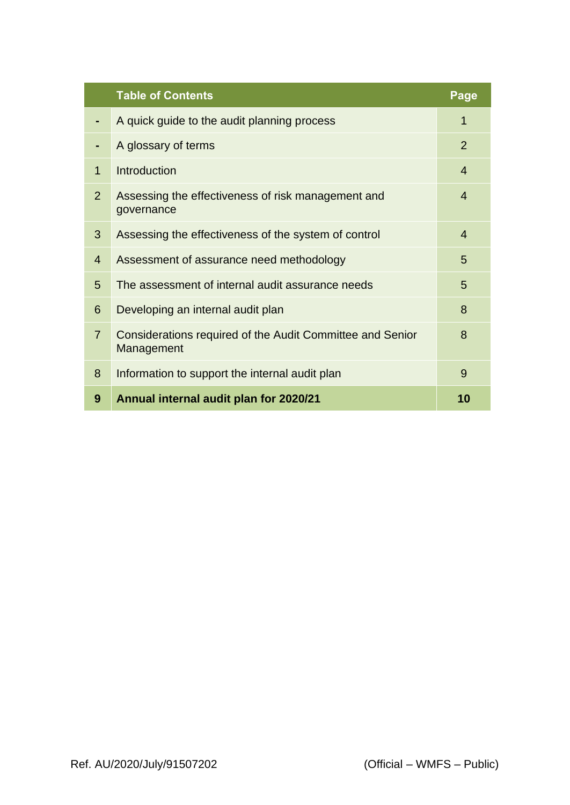|                | <b>Table of Contents</b>                                                | Page           |
|----------------|-------------------------------------------------------------------------|----------------|
|                | A quick guide to the audit planning process                             | 1              |
|                | A glossary of terms                                                     | $\overline{2}$ |
| $\overline{1}$ | Introduction                                                            | 4              |
| $\overline{2}$ | Assessing the effectiveness of risk management and<br>governance        | 4              |
| 3              | Assessing the effectiveness of the system of control                    | 4              |
| $\overline{4}$ | Assessment of assurance need methodology                                | 5              |
| 5              | The assessment of internal audit assurance needs                        | 5              |
| 6              | Developing an internal audit plan                                       | 8              |
| $\overline{7}$ | Considerations required of the Audit Committee and Senior<br>Management | 8              |
| 8              | Information to support the internal audit plan                          | 9              |
| 9              | Annual internal audit plan for 2020/21                                  | 10             |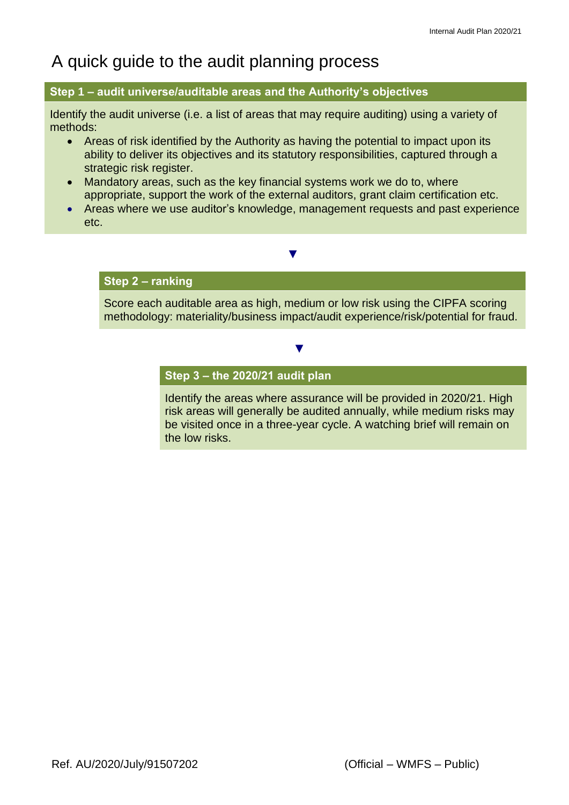### A quick guide to the audit planning process

#### **Step 1 – audit universe/auditable areas and the Authority's objectives**

Identify the audit universe (i.e. a list of areas that may require auditing) using a variety of methods:

- Areas of risk identified by the Authority as having the potential to impact upon its ability to deliver its objectives and its statutory responsibilities, captured through a strategic risk register.
- Mandatory areas, such as the key financial systems work we do to, where appropriate, support the work of the external auditors, grant claim certification etc.
- Areas where we use auditor's knowledge, management requests and past experience etc.

 **▼**

#### **Step 2 – ranking**

Score each auditable area as high, medium or low risk using the CIPFA scoring methodology: materiality/business impact/audit experience/risk/potential for fraud.

 **▼**

#### **Step 3 – the 2020/21 audit plan**

Identify the areas where assurance will be provided in 2020/21. High risk areas will generally be audited annually, while medium risks may be visited once in a three-year cycle. A watching brief will remain on the low risks.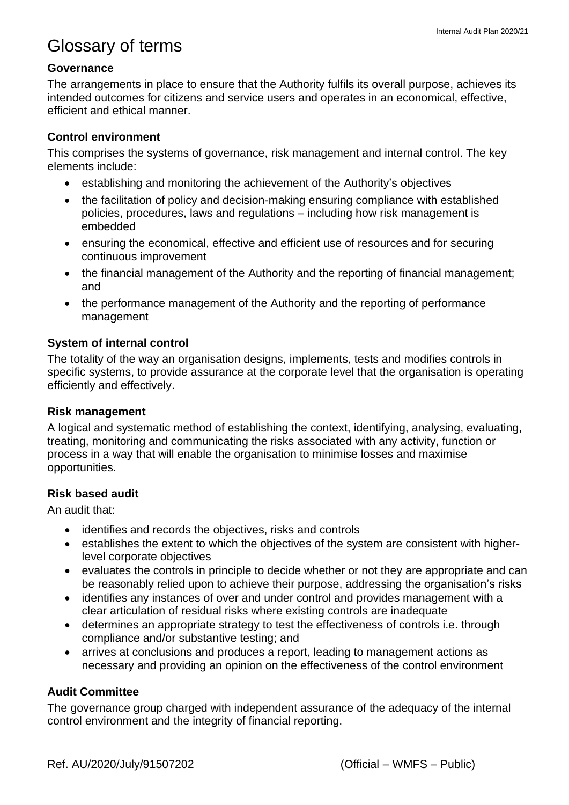## Glossary of terms

### **Governance**

The arrangements in place to ensure that the Authority fulfils its overall purpose, achieves its intended outcomes for citizens and service users and operates in an economical, effective, efficient and ethical manner.

### **Control environment**

This comprises the systems of governance, risk management and internal control. The key elements include:

- establishing and monitoring the achievement of the Authority's objectives
- the facilitation of policy and decision-making ensuring compliance with established policies, procedures, laws and regulations – including how risk management is embedded
- ensuring the economical, effective and efficient use of resources and for securing continuous improvement
- the financial management of the Authority and the reporting of financial management; and
- the performance management of the Authority and the reporting of performance management

### **System of internal control**

The totality of the way an organisation designs, implements, tests and modifies controls in specific systems, to provide assurance at the corporate level that the organisation is operating efficiently and effectively.

### **Risk management**

A logical and systematic method of establishing the context, identifying, analysing, evaluating, treating, monitoring and communicating the risks associated with any activity, function or process in a way that will enable the organisation to minimise losses and maximise opportunities.

### **Risk based audit**

An audit that:

- identifies and records the objectives, risks and controls
- establishes the extent to which the objectives of the system are consistent with higherlevel corporate objectives
- evaluates the controls in principle to decide whether or not they are appropriate and can be reasonably relied upon to achieve their purpose, addressing the organisation's risks
- identifies any instances of over and under control and provides management with a clear articulation of residual risks where existing controls are inadequate
- determines an appropriate strategy to test the effectiveness of controls i.e. through compliance and/or substantive testing; and
- arrives at conclusions and produces a report, leading to management actions as necessary and providing an opinion on the effectiveness of the control environment

### **Audit Committee**

The governance group charged with independent assurance of the adequacy of the internal control environment and the integrity of financial reporting.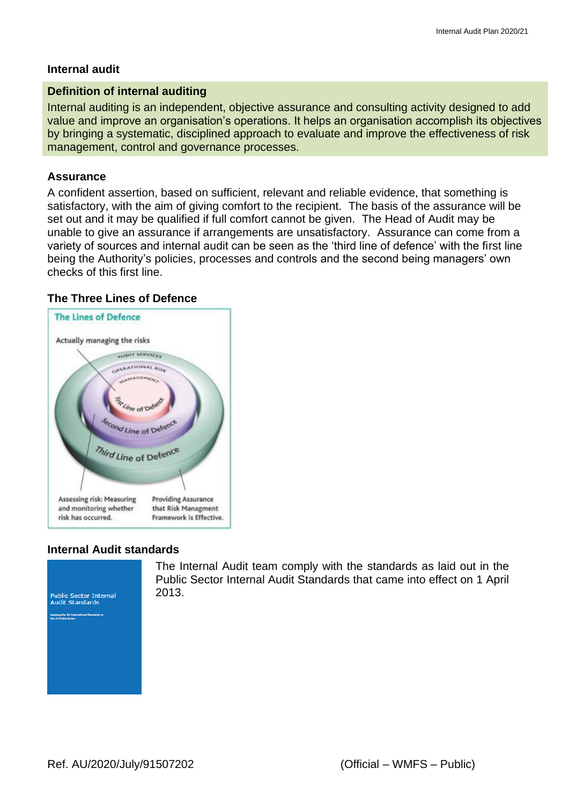#### **Internal audit**

#### **Definition of internal auditing**

Internal auditing is an independent, objective assurance and consulting activity designed to add value and improve an organisation's operations. It helps an organisation accomplish its objectives by bringing a systematic, disciplined approach to evaluate and improve the effectiveness of risk management, control and governance processes.

#### **Assurance**

A confident assertion, based on sufficient, relevant and reliable evidence, that something is satisfactory, with the aim of giving comfort to the recipient. The basis of the assurance will be set out and it may be qualified if full comfort cannot be given. The Head of Audit may be unable to give an assurance if arrangements are unsatisfactory. Assurance can come from a variety of sources and internal audit can be seen as the 'third line of defence' with the first line being the Authority's policies, processes and controls and the second being managers' own checks of this first line.

#### **The Three Lines of Defence**



#### **Internal Audit standards**



The Internal Audit team comply with the standards as laid out in the Public Sector Internal Audit Standards that came into effect on 1 April 2013.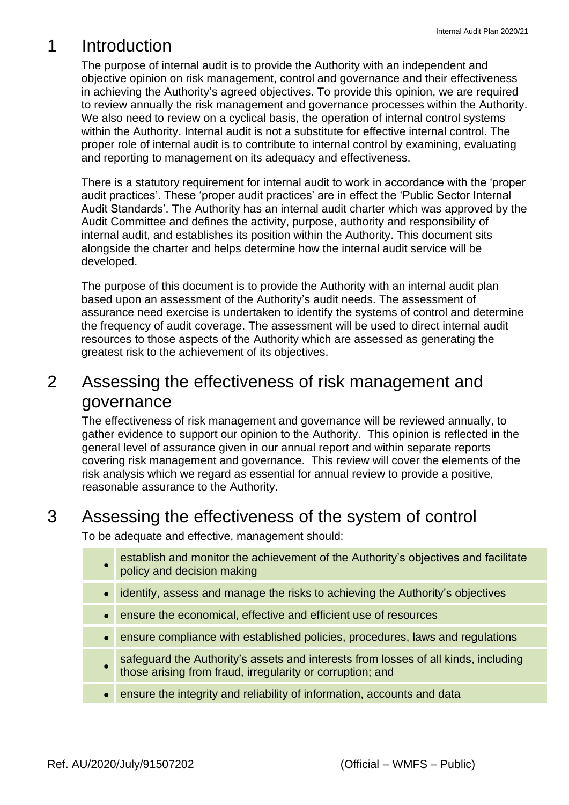### 1 Introduction

The purpose of internal audit is to provide the Authority with an independent and objective opinion on risk management, control and governance and their effectiveness in achieving the Authority's agreed objectives. To provide this opinion, we are required to review annually the risk management and governance processes within the Authority. We also need to review on a cyclical basis, the operation of internal control systems within the Authority. Internal audit is not a substitute for effective internal control. The proper role of internal audit is to contribute to internal control by examining, evaluating and reporting to management on its adequacy and effectiveness.

There is a statutory requirement for internal audit to work in accordance with the 'proper audit practices'. These 'proper audit practices' are in effect the 'Public Sector Internal Audit Standards'. The Authority has an internal audit charter which was approved by the Audit Committee and defines the activity, purpose, authority and responsibility of internal audit, and establishes its position within the Authority. This document sits alongside the charter and helps determine how the internal audit service will be developed.

The purpose of this document is to provide the Authority with an internal audit plan based upon an assessment of the Authority's audit needs. The assessment of assurance need exercise is undertaken to identify the systems of control and determine the frequency of audit coverage. The assessment will be used to direct internal audit resources to those aspects of the Authority which are assessed as generating the greatest risk to the achievement of its objectives.

### 2 Assessing the effectiveness of risk management and governance

The effectiveness of risk management and governance will be reviewed annually, to gather evidence to support our opinion to the Authority. This opinion is reflected in the general level of assurance given in our annual report and within separate reports covering risk management and governance. This review will cover the elements of the risk analysis which we regard as essential for annual review to provide a positive, reasonable assurance to the Authority.

### 3 Assessing the effectiveness of the system of control

To be adequate and effective, management should:

- establish and monitor the achievement of the Authority's objectives and facilitate policy and decision making
- identify, assess and manage the risks to achieving the Authority's objectives
- ensure the economical, effective and efficient use of resources
- ensure compliance with established policies, procedures, laws and regulations
- safeguard the Authority's assets and interests from losses of all kinds, including those arising from fraud, irregularity or corruption; and
- ensure the integrity and reliability of information, accounts and data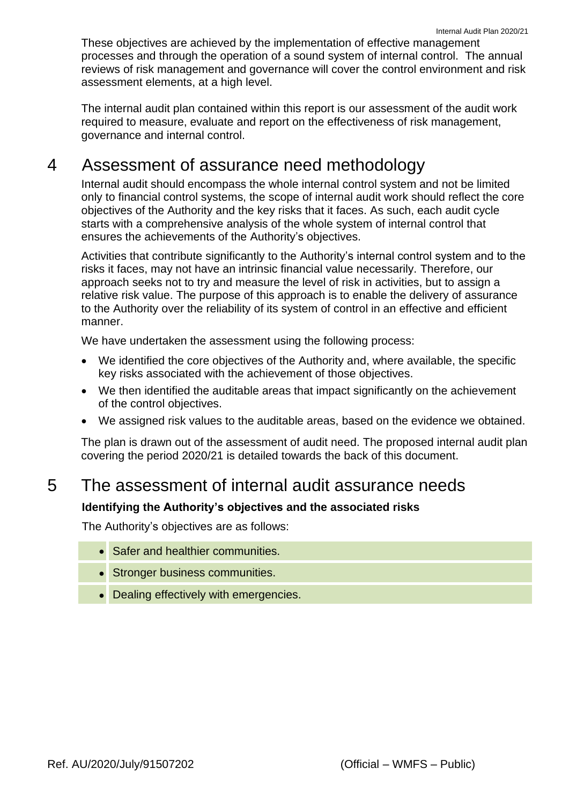These objectives are achieved by the implementation of effective management processes and through the operation of a sound system of internal control. The annual reviews of risk management and governance will cover the control environment and risk assessment elements, at a high level.

The internal audit plan contained within this report is our assessment of the audit work required to measure, evaluate and report on the effectiveness of risk management, governance and internal control.

### 4 Assessment of assurance need methodology

Internal audit should encompass the whole internal control system and not be limited only to financial control systems, the scope of internal audit work should reflect the core objectives of the Authority and the key risks that it faces. As such, each audit cycle starts with a comprehensive analysis of the whole system of internal control that ensures the achievements of the Authority's objectives.

Activities that contribute significantly to the Authority's internal control system and to the risks it faces, may not have an intrinsic financial value necessarily. Therefore, our approach seeks not to try and measure the level of risk in activities, but to assign a relative risk value. The purpose of this approach is to enable the delivery of assurance to the Authority over the reliability of its system of control in an effective and efficient manner.

We have undertaken the assessment using the following process:

- We identified the core objectives of the Authority and, where available, the specific key risks associated with the achievement of those objectives.
- We then identified the auditable areas that impact significantly on the achievement of the control objectives.
- We assigned risk values to the auditable areas, based on the evidence we obtained.

The plan is drawn out of the assessment of audit need. The proposed internal audit plan covering the period 2020/21 is detailed towards the back of this document.

### 5 The assessment of internal audit assurance needs

### **Identifying the Authority's objectives and the associated risks**

The Authority's objectives are as follows:

- Safer and healthier communities.
- Stronger business communities.
- Dealing effectively with emergencies.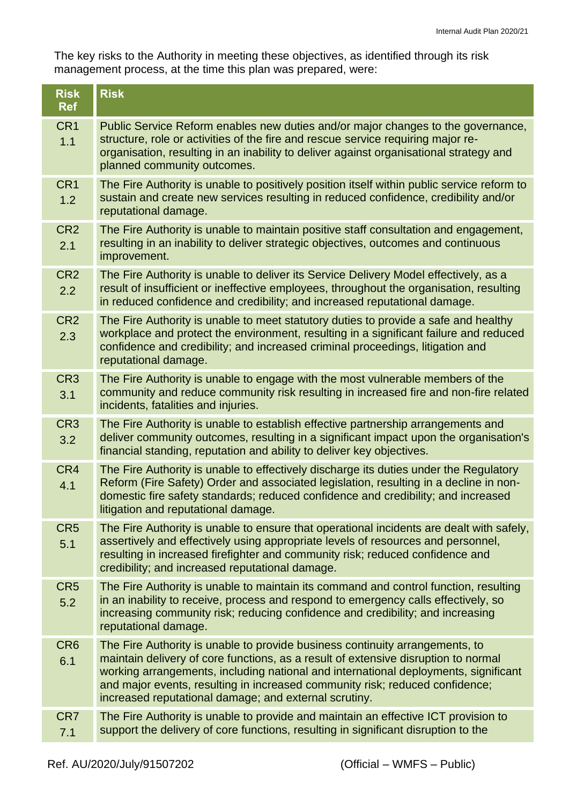The key risks to the Authority in meeting these objectives, as identified through its risk management process, at the time this plan was prepared, were:

| <b>Risk</b><br><b>Ref</b> | <b>Risk</b>                                                                                                                                                                                                                                                                                                                                                                                        |
|---------------------------|----------------------------------------------------------------------------------------------------------------------------------------------------------------------------------------------------------------------------------------------------------------------------------------------------------------------------------------------------------------------------------------------------|
| CR <sub>1</sub><br>1.1    | Public Service Reform enables new duties and/or major changes to the governance,<br>structure, role or activities of the fire and rescue service requiring major re-<br>organisation, resulting in an inability to deliver against organisational strategy and<br>planned community outcomes.                                                                                                      |
| CR <sub>1</sub><br>1.2    | The Fire Authority is unable to positively position itself within public service reform to<br>sustain and create new services resulting in reduced confidence, credibility and/or<br>reputational damage.                                                                                                                                                                                          |
| CR <sub>2</sub><br>2.1    | The Fire Authority is unable to maintain positive staff consultation and engagement,<br>resulting in an inability to deliver strategic objectives, outcomes and continuous<br>improvement.                                                                                                                                                                                                         |
| CR <sub>2</sub><br>2.2    | The Fire Authority is unable to deliver its Service Delivery Model effectively, as a<br>result of insufficient or ineffective employees, throughout the organisation, resulting<br>in reduced confidence and credibility; and increased reputational damage.                                                                                                                                       |
| CR <sub>2</sub><br>2.3    | The Fire Authority is unable to meet statutory duties to provide a safe and healthy<br>workplace and protect the environment, resulting in a significant failure and reduced<br>confidence and credibility; and increased criminal proceedings, litigation and<br>reputational damage.                                                                                                             |
| CR <sub>3</sub><br>3.1    | The Fire Authority is unable to engage with the most vulnerable members of the<br>community and reduce community risk resulting in increased fire and non-fire related<br>incidents, fatalities and injuries.                                                                                                                                                                                      |
| CR <sub>3</sub><br>3.2    | The Fire Authority is unable to establish effective partnership arrangements and<br>deliver community outcomes, resulting in a significant impact upon the organisation's<br>financial standing, reputation and ability to deliver key objectives.                                                                                                                                                 |
| CR4<br>4.1                | The Fire Authority is unable to effectively discharge its duties under the Regulatory<br>Reform (Fire Safety) Order and associated legislation, resulting in a decline in non-<br>domestic fire safety standards; reduced confidence and credibility; and increased<br>litigation and reputational damage.                                                                                         |
| CR <sub>5</sub><br>5.1    | The Fire Authority is unable to ensure that operational incidents are dealt with safely,<br>assertively and effectively using appropriate levels of resources and personnel,<br>resulting in increased firefighter and community risk; reduced confidence and<br>credibility; and increased reputational damage.                                                                                   |
| CR <sub>5</sub><br>5.2    | The Fire Authority is unable to maintain its command and control function, resulting<br>in an inability to receive, process and respond to emergency calls effectively, so<br>increasing community risk; reducing confidence and credibility; and increasing<br>reputational damage.                                                                                                               |
| CR <sub>6</sub><br>6.1    | The Fire Authority is unable to provide business continuity arrangements, to<br>maintain delivery of core functions, as a result of extensive disruption to normal<br>working arrangements, including national and international deployments, significant<br>and major events, resulting in increased community risk; reduced confidence;<br>increased reputational damage; and external scrutiny. |
| CR7<br>7.1                | The Fire Authority is unable to provide and maintain an effective ICT provision to<br>support the delivery of core functions, resulting in significant disruption to the                                                                                                                                                                                                                           |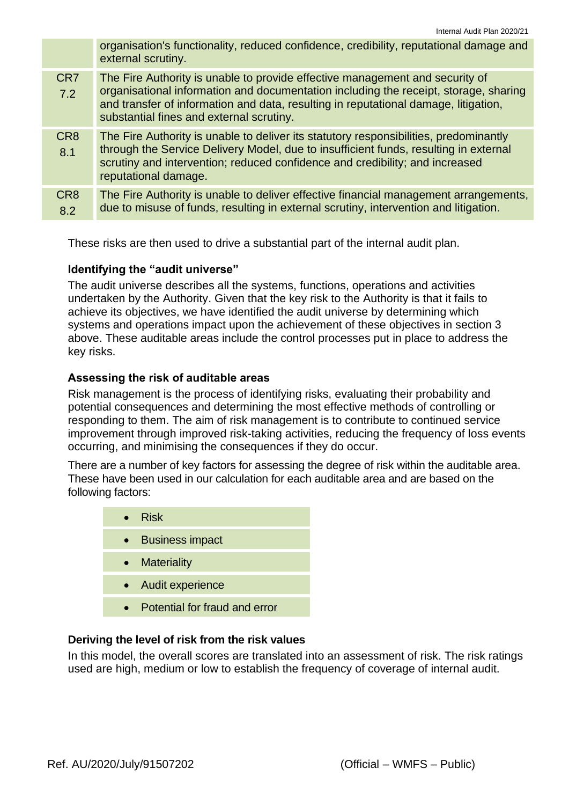|                        | organisation's functionality, reduced confidence, credibility, reputational damage and<br>external scrutiny.                                                                                                                                                                                            |
|------------------------|---------------------------------------------------------------------------------------------------------------------------------------------------------------------------------------------------------------------------------------------------------------------------------------------------------|
| CR7<br>7.2             | The Fire Authority is unable to provide effective management and security of<br>organisational information and documentation including the receipt, storage, sharing<br>and transfer of information and data, resulting in reputational damage, litigation,<br>substantial fines and external scrutiny. |
| CR <sub>8</sub><br>8.1 | The Fire Authority is unable to deliver its statutory responsibilities, predominantly<br>through the Service Delivery Model, due to insufficient funds, resulting in external<br>scrutiny and intervention; reduced confidence and credibility; and increased<br>reputational damage.                   |
| CR <sub>8</sub><br>8.2 | The Fire Authority is unable to deliver effective financial management arrangements,<br>due to misuse of funds, resulting in external scrutiny, intervention and litigation.                                                                                                                            |

These risks are then used to drive a substantial part of the internal audit plan.

#### **Identifying the "audit universe"**

The audit universe describes all the systems, functions, operations and activities undertaken by the Authority. Given that the key risk to the Authority is that it fails to achieve its objectives, we have identified the audit universe by determining which systems and operations impact upon the achievement of these objectives in section 3 above. These auditable areas include the control processes put in place to address the key risks.

#### **Assessing the risk of auditable areas**

Risk management is the process of identifying risks, evaluating their probability and potential consequences and determining the most effective methods of controlling or responding to them. The aim of risk management is to contribute to continued service improvement through improved risk-taking activities, reducing the frequency of loss events occurring, and minimising the consequences if they do occur.

There are a number of key factors for assessing the degree of risk within the auditable area. These have been used in our calculation for each auditable area and are based on the following factors:

|           | $\bullet$ Risk                |
|-----------|-------------------------------|
| $\bullet$ | <b>Business impact</b>        |
|           | • Materiality                 |
|           | • Audit experience            |
|           | Potential for fraud and error |

# **Deriving the level of risk from the risk values**

In this model, the overall scores are translated into an assessment of risk. The risk ratings used are high, medium or low to establish the frequency of coverage of internal audit.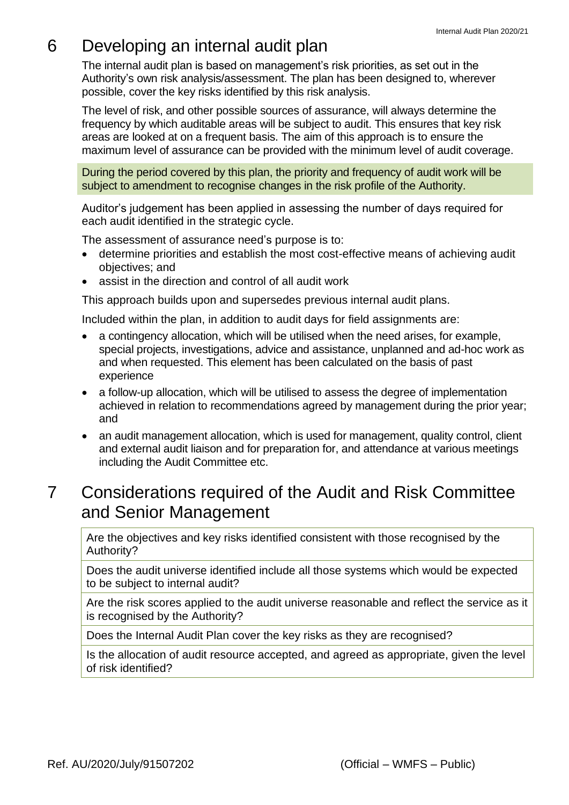## 6 Developing an internal audit plan

The internal audit plan is based on management's risk priorities, as set out in the Authority's own risk analysis/assessment. The plan has been designed to, wherever possible, cover the key risks identified by this risk analysis.

The level of risk, and other possible sources of assurance, will always determine the frequency by which auditable areas will be subject to audit. This ensures that key risk areas are looked at on a frequent basis. The aim of this approach is to ensure the maximum level of assurance can be provided with the minimum level of audit coverage.

During the period covered by this plan, the priority and frequency of audit work will be subject to amendment to recognise changes in the risk profile of the Authority.

Auditor's judgement has been applied in assessing the number of days required for each audit identified in the strategic cycle.

The assessment of assurance need's purpose is to:

- determine priorities and establish the most cost-effective means of achieving audit objectives; and
- assist in the direction and control of all audit work

This approach builds upon and supersedes previous internal audit plans.

Included within the plan, in addition to audit days for field assignments are:

- a contingency allocation, which will be utilised when the need arises, for example, special projects, investigations, advice and assistance, unplanned and ad-hoc work as and when requested. This element has been calculated on the basis of past experience
- a follow-up allocation, which will be utilised to assess the degree of implementation achieved in relation to recommendations agreed by management during the prior year; and
- an audit management allocation, which is used for management, quality control, client and external audit liaison and for preparation for, and attendance at various meetings including the Audit Committee etc.

### 7 Considerations required of the Audit and Risk Committee and Senior Management

Are the objectives and key risks identified consistent with those recognised by the Authority?

Does the audit universe identified include all those systems which would be expected to be subject to internal audit?

Are the risk scores applied to the audit universe reasonable and reflect the service as it is recognised by the Authority?

Does the Internal Audit Plan cover the key risks as they are recognised?

Is the allocation of audit resource accepted, and agreed as appropriate, given the level of risk identified?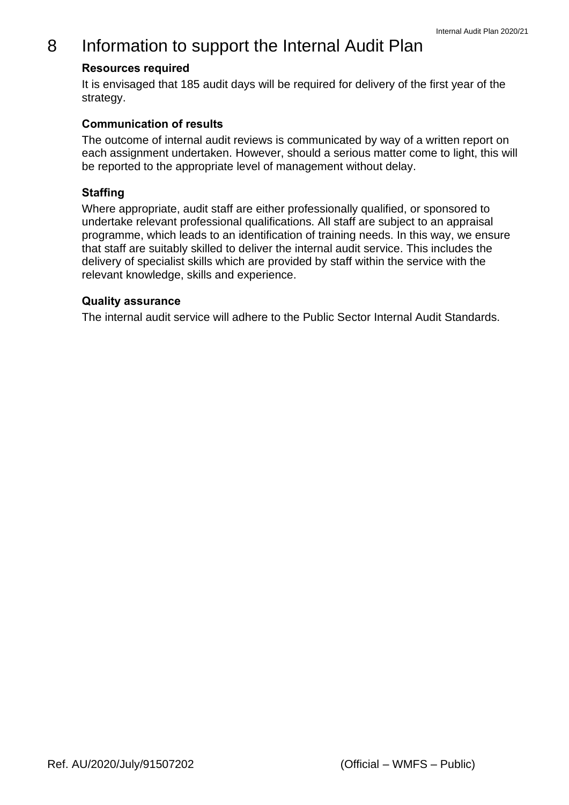### 8 Information to support the Internal Audit Plan

### **Resources required**

It is envisaged that 185 audit days will be required for delivery of the first year of the strategy.

### **Communication of results**

The outcome of internal audit reviews is communicated by way of a written report on each assignment undertaken. However, should a serious matter come to light, this will be reported to the appropriate level of management without delay.

### **Staffing**

Where appropriate, audit staff are either professionally qualified, or sponsored to undertake relevant professional qualifications. All staff are subject to an appraisal programme, which leads to an identification of training needs. In this way, we ensure that staff are suitably skilled to deliver the internal audit service. This includes the delivery of specialist skills which are provided by staff within the service with the relevant knowledge, skills and experience.

#### **Quality assurance**

The internal audit service will adhere to the Public Sector Internal Audit Standards.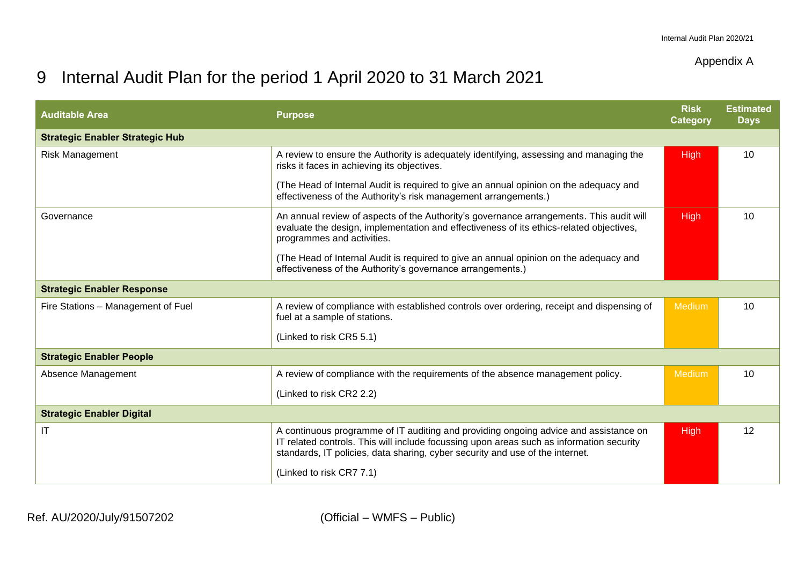### Appendix A

## 9 Internal Audit Plan for the period 1 April 2020 to 31 March 2021

| <b>Auditable Area</b>                                                                                                                                                                                                          | <b>Purpose</b>                                                                                                                                                                                                                                                    | <b>Risk</b><br><b>Category</b> | <b>Estimated</b><br><b>Days</b> |
|--------------------------------------------------------------------------------------------------------------------------------------------------------------------------------------------------------------------------------|-------------------------------------------------------------------------------------------------------------------------------------------------------------------------------------------------------------------------------------------------------------------|--------------------------------|---------------------------------|
| <b>Strategic Enabler Strategic Hub</b>                                                                                                                                                                                         |                                                                                                                                                                                                                                                                   |                                |                                 |
| Risk Management                                                                                                                                                                                                                | A review to ensure the Authority is adequately identifying, assessing and managing the<br>risks it faces in achieving its objectives.                                                                                                                             |                                | 10                              |
|                                                                                                                                                                                                                                | (The Head of Internal Audit is required to give an annual opinion on the adequacy and<br>effectiveness of the Authority's risk management arrangements.)                                                                                                          |                                |                                 |
| An annual review of aspects of the Authority's governance arrangements. This audit will<br>Governance<br>evaluate the design, implementation and effectiveness of its ethics-related objectives,<br>programmes and activities. |                                                                                                                                                                                                                                                                   | High                           | 10                              |
|                                                                                                                                                                                                                                | (The Head of Internal Audit is required to give an annual opinion on the adequacy and<br>effectiveness of the Authority's governance arrangements.)                                                                                                               |                                |                                 |
| <b>Strategic Enabler Response</b>                                                                                                                                                                                              |                                                                                                                                                                                                                                                                   |                                |                                 |
| Fire Stations - Management of Fuel                                                                                                                                                                                             | A review of compliance with established controls over ordering, receipt and dispensing of<br>fuel at a sample of stations.                                                                                                                                        | Medium                         | 10                              |
|                                                                                                                                                                                                                                | (Linked to risk CR5 5.1)                                                                                                                                                                                                                                          |                                |                                 |
| <b>Strategic Enabler People</b>                                                                                                                                                                                                |                                                                                                                                                                                                                                                                   |                                |                                 |
| Absence Management                                                                                                                                                                                                             | A review of compliance with the requirements of the absence management policy.                                                                                                                                                                                    | Medium                         | 10                              |
|                                                                                                                                                                                                                                | (Linked to risk CR2 2.2)                                                                                                                                                                                                                                          |                                |                                 |
| <b>Strategic Enabler Digital</b>                                                                                                                                                                                               |                                                                                                                                                                                                                                                                   |                                |                                 |
| IT                                                                                                                                                                                                                             | A continuous programme of IT auditing and providing ongoing advice and assistance on<br>IT related controls. This will include focussing upon areas such as information security<br>standards, IT policies, data sharing, cyber security and use of the internet. | High                           | 12                              |
|                                                                                                                                                                                                                                | (Linked to risk CR7 7.1)                                                                                                                                                                                                                                          |                                |                                 |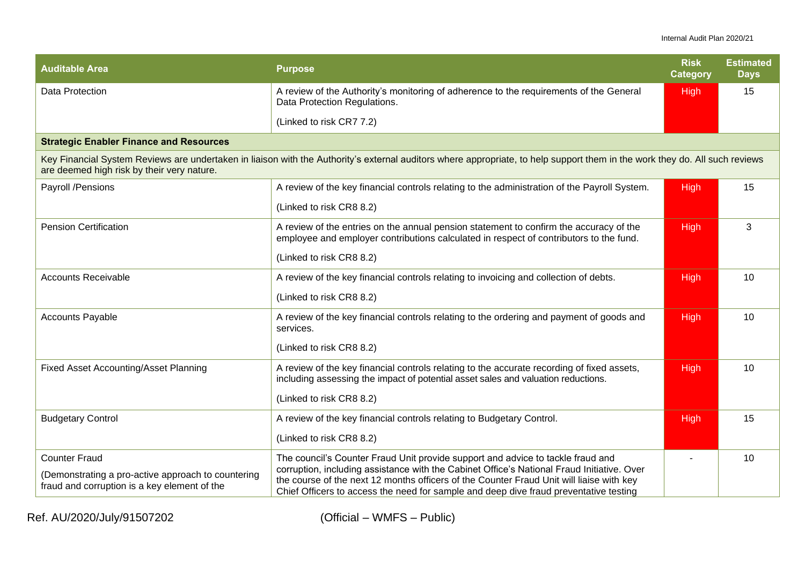#### Internal Audit Plan 2020/21

| <b>Auditable Area</b>                                                                              | <b>Purpose</b>                                                                                                                                                                                                                                                                  | <b>Risk</b><br><b>Category</b> | <b>Estimated</b><br><b>Days</b> |
|----------------------------------------------------------------------------------------------------|---------------------------------------------------------------------------------------------------------------------------------------------------------------------------------------------------------------------------------------------------------------------------------|--------------------------------|---------------------------------|
| Data Protection                                                                                    | A review of the Authority's monitoring of adherence to the requirements of the General<br>Data Protection Regulations.                                                                                                                                                          | <b>High</b>                    | 15                              |
|                                                                                                    | (Linked to risk CR7 7.2)                                                                                                                                                                                                                                                        |                                |                                 |
| <b>Strategic Enabler Finance and Resources</b>                                                     |                                                                                                                                                                                                                                                                                 |                                |                                 |
| are deemed high risk by their very nature.                                                         | Key Financial System Reviews are undertaken in liaison with the Authority's external auditors where appropriate, to help support them in the work they do. All such reviews                                                                                                     |                                |                                 |
| Payroll /Pensions                                                                                  | A review of the key financial controls relating to the administration of the Payroll System.                                                                                                                                                                                    | <b>High</b>                    | 15                              |
|                                                                                                    | (Linked to risk CR8 8.2)                                                                                                                                                                                                                                                        |                                |                                 |
| <b>Pension Certification</b>                                                                       | A review of the entries on the annual pension statement to confirm the accuracy of the<br>employee and employer contributions calculated in respect of contributors to the fund.                                                                                                | <b>High</b>                    | 3                               |
|                                                                                                    | (Linked to risk CR8 8.2)                                                                                                                                                                                                                                                        |                                |                                 |
| <b>Accounts Receivable</b>                                                                         | A review of the key financial controls relating to invoicing and collection of debts.                                                                                                                                                                                           | <b>High</b>                    | 10                              |
|                                                                                                    | (Linked to risk CR8 8.2)                                                                                                                                                                                                                                                        |                                |                                 |
| <b>Accounts Payable</b>                                                                            | A review of the key financial controls relating to the ordering and payment of goods and<br>services.                                                                                                                                                                           | <b>High</b>                    | 10                              |
|                                                                                                    | (Linked to risk CR8 8.2)                                                                                                                                                                                                                                                        |                                |                                 |
| <b>Fixed Asset Accounting/Asset Planning</b>                                                       | A review of the key financial controls relating to the accurate recording of fixed assets,<br>including assessing the impact of potential asset sales and valuation reductions.                                                                                                 | <b>High</b>                    | 10                              |
|                                                                                                    | (Linked to risk CR8 8.2)                                                                                                                                                                                                                                                        |                                |                                 |
| <b>Budgetary Control</b>                                                                           | A review of the key financial controls relating to Budgetary Control.                                                                                                                                                                                                           | <b>High</b>                    | 15                              |
|                                                                                                    | (Linked to risk CR8 8.2)                                                                                                                                                                                                                                                        |                                |                                 |
| <b>Counter Fraud</b>                                                                               | The council's Counter Fraud Unit provide support and advice to tackle fraud and                                                                                                                                                                                                 |                                | 10                              |
| (Demonstrating a pro-active approach to countering<br>fraud and corruption is a key element of the | corruption, including assistance with the Cabinet Office's National Fraud Initiative. Over<br>the course of the next 12 months officers of the Counter Fraud Unit will liaise with key<br>Chief Officers to access the need for sample and deep dive fraud preventative testing |                                |                                 |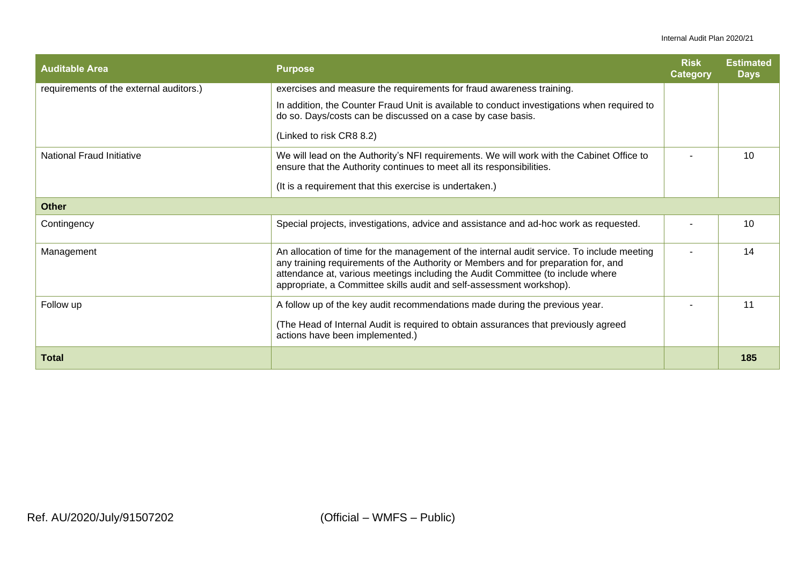#### Internal Audit Plan 2020/21

| <b>Auditable Area</b>                   | <b>Purpose</b>                                                                                                                                                                                                                                                                                                                              | <b>Risk</b><br><b>Category</b> | <b>Estimated</b><br><b>Days</b> |
|-----------------------------------------|---------------------------------------------------------------------------------------------------------------------------------------------------------------------------------------------------------------------------------------------------------------------------------------------------------------------------------------------|--------------------------------|---------------------------------|
| requirements of the external auditors.) | exercises and measure the requirements for fraud awareness training.                                                                                                                                                                                                                                                                        |                                |                                 |
|                                         | In addition, the Counter Fraud Unit is available to conduct investigations when required to<br>do so. Days/costs can be discussed on a case by case basis.                                                                                                                                                                                  |                                |                                 |
|                                         | (Linked to risk CR8 8.2)                                                                                                                                                                                                                                                                                                                    |                                |                                 |
| National Fraud Initiative               | We will lead on the Authority's NFI requirements. We will work with the Cabinet Office to<br>ensure that the Authority continues to meet all its responsibilities.                                                                                                                                                                          |                                | 10                              |
|                                         | (It is a requirement that this exercise is undertaken.)                                                                                                                                                                                                                                                                                     |                                |                                 |
| <b>Other</b>                            |                                                                                                                                                                                                                                                                                                                                             |                                |                                 |
| Contingency                             | Special projects, investigations, advice and assistance and ad-hoc work as requested.                                                                                                                                                                                                                                                       |                                | 10                              |
| Management                              | An allocation of time for the management of the internal audit service. To include meeting<br>any training requirements of the Authority or Members and for preparation for, and<br>attendance at, various meetings including the Audit Committee (to include where<br>appropriate, a Committee skills audit and self-assessment workshop). |                                | 14                              |
| Follow up                               | A follow up of the key audit recommendations made during the previous year.                                                                                                                                                                                                                                                                 |                                | 11                              |
|                                         | (The Head of Internal Audit is required to obtain assurances that previously agreed<br>actions have been implemented.)                                                                                                                                                                                                                      |                                |                                 |
| <b>Total</b>                            |                                                                                                                                                                                                                                                                                                                                             |                                | 185                             |